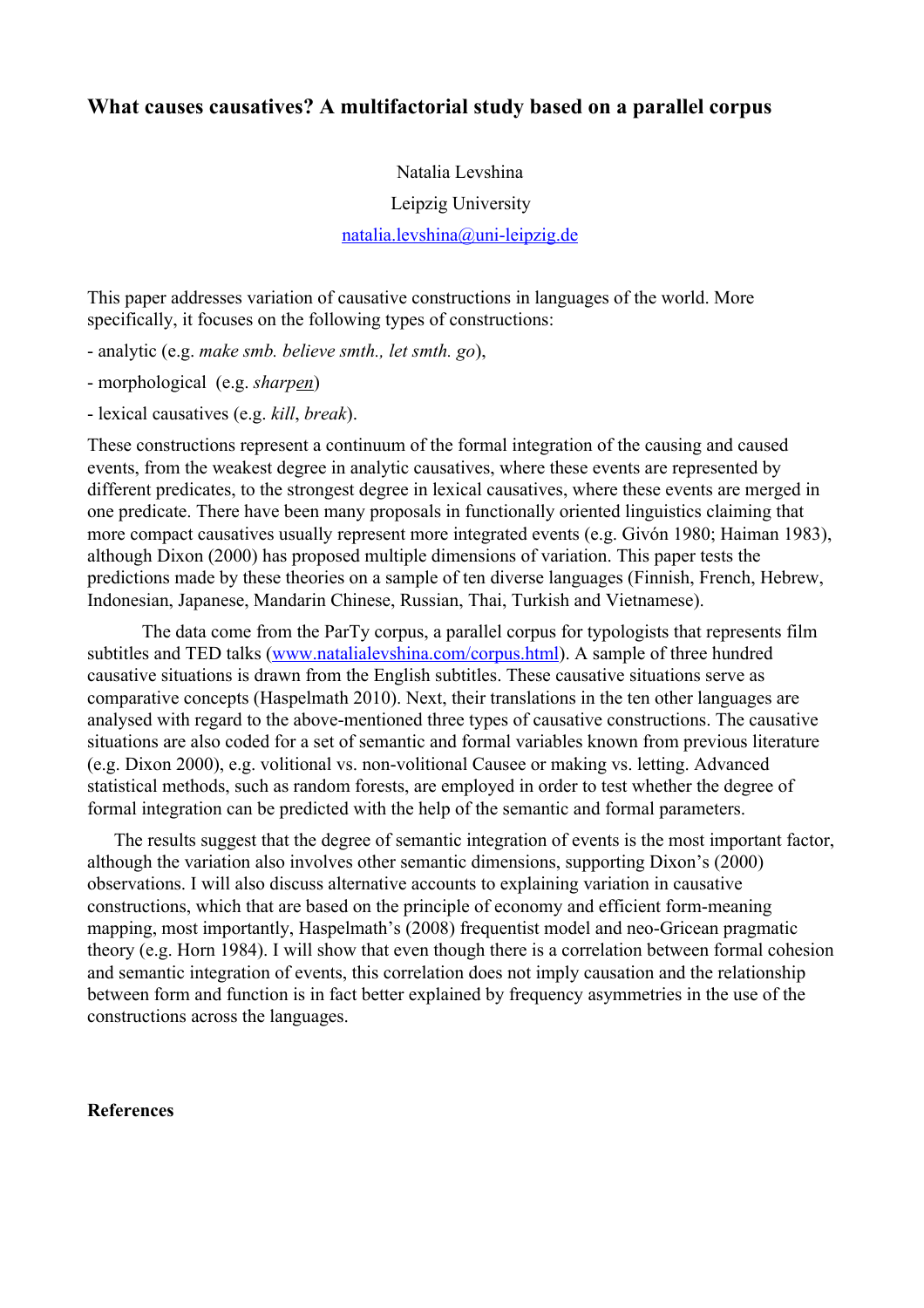## **What causes causatives? A multifactorial study based on a parallel corpus**

## Natalia Levshina

Leipzig University

natalia.levshina@uni-leipzig.de

This paper addresses variation of causative constructions in languages of the world. More specifically, it focuses on the following types of constructions:

analytic (e.g. *make smb. believe smth., let smth. go*),

- morphological (e.g. *sharpen*)
- lexical causatives (e.g. *kill*, *break*).

These constructions represent a continuum of the formal integration of the causing and caused events, from the weakest degree in analytic causatives, where these events are represented by different predicates, to the strongest degree in lexical causatives, where these events are merged in one predicate. There have been many proposals in functionally oriented linguistics claiming that more compact causatives usually represent more integrated events (e.g. Givón 1980; Haiman 1983), although Dixon (2000) has proposed multiple dimensions of variation. This paper tests the predictions made by these theories on a sample of ten diverse languages (Finnish, French, Hebrew, Indonesian, Japanese, Mandarin Chinese, Russian, Thai, Turkish and Vietnamese).

The data come from the ParTy corpus, a parallel corpus for typologists that represents film subtitles and TED talks [\(www.natalialevshina.com/corpus.html\)](http://www.natalialevshina.com/corpus.html). A sample of three hundred causative situations is drawn from the English subtitles. These causative situations serve as comparative concepts (Haspelmath 2010). Next, their translations in the ten other languages are analysed with regard to the above-mentioned three types of causative constructions. The causative situations are also coded for a set of semantic and formal variables known from previous literature (e.g. Dixon 2000), e.g. volitional vs. non-volitional Causee or making vs. letting. Advanced statistical methods, such as random forests, are employed in order to test whether the degree of formal integration can be predicted with the help of the semantic and formal parameters.

The results suggest that the degree of semantic integration of events is the most important factor, although the variation also involves other semantic dimensions, supporting Dixon's (2000) observations. I will also discuss alternative accounts to explaining variation in causative constructions, which that are based on the principle of economy and efficient form-meaning mapping, most importantly, Haspelmath's (2008) frequentist model and neo-Gricean pragmatic theory (e.g. Horn 1984). I will show that even though there is a correlation between formal cohesion and semantic integration of events, this correlation does not imply causation and the relationship between form and function is in fact better explained by frequency asymmetries in the use of the constructions across the languages.

## **References**